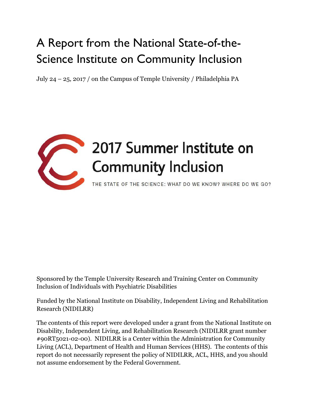## A Report from the National State-of-the-Science Institute on Community Inclusion

July 24 – 25, 2017 / on the Campus of Temple University / Philadelphia PA



# 2017 Summer Institute on

THE STATE OF THE SCIENCE: WHAT DO WE KNOW? WHERE DO WE GO?

Sponsored by the Temple University Research and Training Center on Community Inclusion of Individuals with Psychiatric Disabilities

Funded by the National Institute on Disability, Independent Living and Rehabilitation Research (NIDILRR)

The contents of this report were developed under a grant from the National Institute on Disability, Independent Living, and Rehabilitation Research (NIDILRR grant number #90RT5021-02-00). NIDILRR is a Center within the Administration for Community Living (ACL), Department of Health and Human Services (HHS). The contents of this report do not necessarily represent the policy of NIDILRR, ACL, HHS, and you should not assume endorsement by the Federal Government.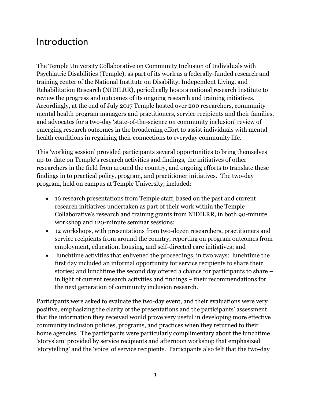#### Introduction

The Temple University Collaborative on Community Inclusion of Individuals with Psychiatric Disabilities (Temple), as part of its work as a federally-funded research and training center of the National Institute on Disability, Independent Living, and Rehabilitation Research (NIDILRR), periodically hosts a national research Institute to review the progress and outcomes of its ongoing research and training initiatives. Accordingly, at the end of July 2017 Temple hosted over 200 researchers, community mental health program managers and practitioners, service recipients and their families, and advocates for a two-day 'state-of-the-science on community inclusion' review of emerging research outcomes in the broadening effort to assist individuals with mental health conditions in regaining their connections to everyday community life.

This 'working session' provided participants several opportunities to bring themselves up-to-date on Temple's research activities and findings, the initiatives of other researchers in the field from around the country, and ongoing efforts to translate these findings in to practical policy, program, and practitioner initiatives. The two-day program, held on campus at Temple University, included:

- 16 research presentations from Temple staff, based on the past and current research initiatives undertaken as part of their work within the Temple Collaborative's research and training grants from NIDILRR, in both 90-minute workshop and 120-minute seminar sessions;
- 12 workshops, with presentations from two-dozen researchers, practitioners and service recipients from around the country, reporting on program outcomes from employment, education, housing, and self-directed care initiatives; and
- lunchtime activities that enlivened the proceedings, in two ways: lunchtime the first day included an informal opportunity for service recipients to share their stories; and lunchtime the second day offered a chance for participants to share – in light of current research activities and findings – their recommendations for the next generation of community inclusion research.

Participants were asked to evaluate the two-day event, and their evaluations were very positive, emphasizing the clarity of the presentations and the participants' assessment that the information they received would prove very useful in developing more effective community inclusion policies, programs, and practices when they returned to their home agencies. The participants were particularly complimentary about the lunchtime 'storyslam' provided by service recipients and afternoon workshop that emphasized 'storytelling' and the 'voice' of service recipients. Participants also felt that the two-day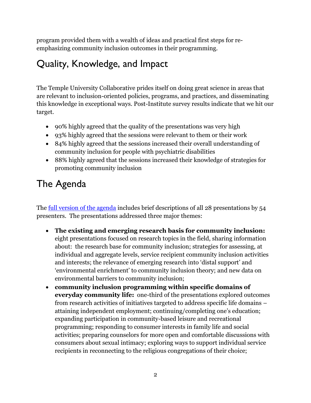program provided them with a wealth of ideas and practical first steps for reemphasizing community inclusion outcomes in their programming.

## Quality, Knowledge, and Impact

The Temple University Collaborative prides itself on doing great science in areas that are relevant to inclusion-oriented policies, programs, and practices, and disseminating this knowledge in exceptional ways. Post-Institute survey results indicate that we hit our target.

- 90% highly agreed that the quality of the presentations was very high
- 93% highly agreed that the sessions were relevant to them or their work
- 84% highly agreed that the sessions increased their overall understanding of community inclusion for people with psychiatric disabilities
- 88% highly agreed that the sessions increased their knowledge of strategies for promoting community inclusion

## The Agenda

The [full version of the agenda](http://tucollaborative.org/wp-content/uploads/All-session-descriptions-and-schedule-7.17-color-1st-last-only-2-sides-1st-doc-in-folder.pdf) includes brief descriptions of all 28 presentations by 54 presenters. The presentations addressed three major themes:

- **The existing and emerging research basis for community inclusion:** eight presentations focused on research topics in the field, sharing information about: the research base for community inclusion; strategies for assessing, at individual and aggregate levels, service recipient community inclusion activities and interests; the relevance of emerging research into 'distal support' and 'environmental enrichment' to community inclusion theory; and new data on environmental barriers to community inclusion;
- **community inclusion programming within specific domains of everyday community life:** one-third of the presentations explored outcomes from research activities of initiatives targeted to address specific life domains – attaining independent employment; continuing/completing one's education; expanding participation in community-based leisure and recreational programming; responding to consumer interests in family life and social activities; preparing counselors for more open and comfortable discussions with consumers about sexual intimacy; exploring ways to support individual service recipients in reconnecting to the religious congregations of their choice;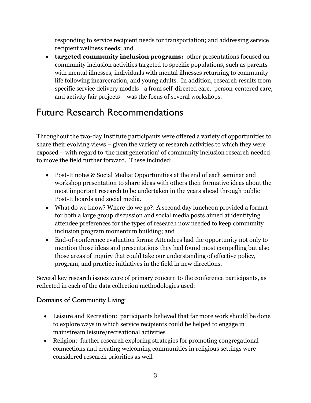responding to service recipient needs for transportation; and addressing service recipient wellness needs; and

 **targeted community inclusion programs:** other presentations focused on community inclusion activities targeted to specific populations, such as parents with mental illnesses, individuals with mental illnesses returning to community life following incarceration, and young adults. In addition, research results from specific service delivery models - a from self-directed care, person-centered care, and activity fair projects – was the focus of several workshops.

### Future Research Recommendations

Throughout the two-day Institute participants were offered a variety of opportunities to share their evolving views – given the variety of research activities to which they were exposed – with regard to 'the next generation' of community inclusion research needed to move the field further forward. These included:

- Post-It notes & Social Media: Opportunities at the end of each seminar and workshop presentation to share ideas with others their formative ideas about the most important research to be undertaken in the years ahead through public Post-It boards and social media.
- What do we know? Where do we go?: A second day luncheon provided a format for both a large group discussion and social media posts aimed at identifying attendee preferences for the types of research now needed to keep community inclusion program momentum building; and
- End-of-conference evaluation forms: Attendees had the opportunity not only to mention those ideas and presentations they had found most compelling but also those areas of inquiry that could take our understanding of effective policy, program, and practice initiatives in the field in new directions.

Several key research issues were of primary concern to the conference participants, as reflected in each of the data collection methodologies used:

#### Domains of Community Living:

- Leisure and Recreation: participants believed that far more work should be done to explore ways in which service recipients could be helped to engage in mainstream leisure/recreational activities
- Religion: further research exploring strategies for promoting congregational connections and creating welcoming communities in religious settings were considered research priorities as well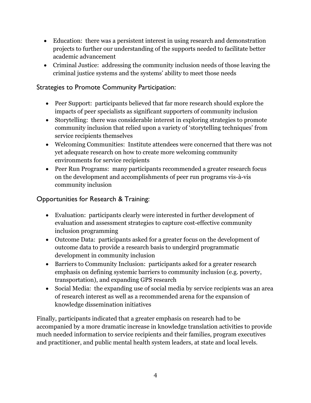- Education: there was a persistent interest in using research and demonstration projects to further our understanding of the supports needed to facilitate better academic advancement
- Criminal Justice: addressing the community inclusion needs of those leaving the criminal justice systems and the systems' ability to meet those needs

#### Strategies to Promote Community Participation:

- Peer Support: participants believed that far more research should explore the impacts of peer specialists as significant supporters of community inclusion
- Storytelling: there was considerable interest in exploring strategies to promote community inclusion that relied upon a variety of 'storytelling techniques' from service recipients themselves
- Welcoming Communities: Institute attendees were concerned that there was not yet adequate research on how to create more welcoming community environments for service recipients
- Peer Run Programs: many participants recommended a greater research focus on the development and accomplishments of peer run programs vis-à-vis community inclusion

#### Opportunities for Research & Training:

- Evaluation: participants clearly were interested in further development of evaluation and assessment strategies to capture cost-effective community inclusion programming
- Outcome Data: participants asked for a greater focus on the development of outcome data to provide a research basis to undergird programmatic development in community inclusion
- Barriers to Community Inclusion: participants asked for a greater research emphasis on defining systemic barriers to community inclusion (e.g. poverty, transportation), and expanding GPS research
- Social Media: the expanding use of social media by service recipients was an area of research interest as well as a recommended arena for the expansion of knowledge dissemination initiatives

Finally, participants indicated that a greater emphasis on research had to be accompanied by a more dramatic increase in knowledge translation activities to provide much needed information to service recipients and their families, program executives and practitioner, and public mental health system leaders, at state and local levels.